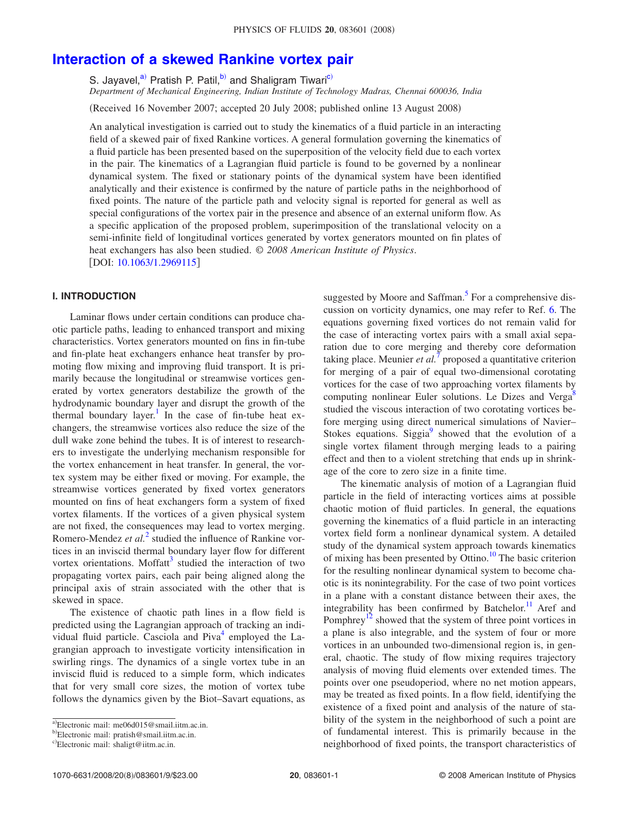# **Interaction of a skewed Rankine vortex pair**

S. Jayavel,<sup>a)</sup> Pratish P. Patil,<sup>b)</sup> and Shaligram Tiwari<sup>c)</sup> *Department of Mechanical Engineering, Indian Institute of Technology Madras, Chennai 600036, India*

Received 16 November 2007; accepted 20 July 2008; published online 13 August 2008-

An analytical investigation is carried out to study the kinematics of a fluid particle in an interacting field of a skewed pair of fixed Rankine vortices. A general formulation governing the kinematics of a fluid particle has been presented based on the superposition of the velocity field due to each vortex in the pair. The kinematics of a Lagrangian fluid particle is found to be governed by a nonlinear dynamical system. The fixed or stationary points of the dynamical system have been identified analytically and their existence is confirmed by the nature of particle paths in the neighborhood of fixed points. The nature of the particle path and velocity signal is reported for general as well as special configurations of the vortex pair in the presence and absence of an external uniform flow. As a specific application of the proposed problem, superimposition of the translational velocity on a semi-infinite field of longitudinal vortices generated by vortex generators mounted on fin plates of heat exchangers has also been studied. © *2008 American Institute of Physics*. [DOI: 10.1063/1.2969115]

## **I. INTRODUCTION**

Laminar flows under certain conditions can produce chaotic particle paths, leading to enhanced transport and mixing characteristics. Vortex generators mounted on fins in fin-tube and fin-plate heat exchangers enhance heat transfer by promoting flow mixing and improving fluid transport. It is primarily because the longitudinal or streamwise vortices generated by vortex generators destabilize the growth of the hydrodynamic boundary layer and disrupt the growth of the thermal boundary layer.<sup>1</sup> In the case of fin-tube heat exchangers, the streamwise vortices also reduce the size of the dull wake zone behind the tubes. It is of interest to researchers to investigate the underlying mechanism responsible for the vortex enhancement in heat transfer. In general, the vortex system may be either fixed or moving. For example, the streamwise vortices generated by fixed vortex generators mounted on fins of heat exchangers form a system of fixed vortex filaments. If the vortices of a given physical system are not fixed, the consequences may lead to vortex merging. Romero-Mendez *et al.*<sup>2</sup> studied the influence of Rankine vortices in an inviscid thermal boundary layer flow for different vortex orientations. Moffatt<sup>3</sup> studied the interaction of two propagating vortex pairs, each pair being aligned along the principal axis of strain associated with the other that is skewed in space.

The existence of chaotic path lines in a flow field is predicted using the Lagrangian approach of tracking an individual fluid particle. Casciola and Piva<sup>4</sup> employed the Lagrangian approach to investigate vorticity intensification in swirling rings. The dynamics of a single vortex tube in an inviscid fluid is reduced to a simple form, which indicates that for very small core sizes, the motion of vortex tube follows the dynamics given by the Biot–Savart equations, as

suggested by Moore and Saffman.<sup>5</sup> For a comprehensive discussion on vorticity dynamics, one may refer to Ref. 6. The equations governing fixed vortices do not remain valid for the case of interacting vortex pairs with a small axial separation due to core merging and thereby core deformation taking place. Meunier *et al.*<sup>7</sup> proposed a quantitative criterion for merging of a pair of equal two-dimensional corotating vortices for the case of two approaching vortex filaments by computing nonlinear Euler solutions. Le Dizes and Verga<sup>8</sup> studied the viscous interaction of two corotating vortices before merging using direct numerical simulations of Navier– Stokes equations. Siggia<sup>9</sup> showed that the evolution of a single vortex filament through merging leads to a pairing effect and then to a violent stretching that ends up in shrinkage of the core to zero size in a finite time.

The kinematic analysis of motion of a Lagrangian fluid particle in the field of interacting vortices aims at possible chaotic motion of fluid particles. In general, the equations governing the kinematics of a fluid particle in an interacting vortex field form a nonlinear dynamical system. A detailed study of the dynamical system approach towards kinematics of mixing has been presented by Ottino.<sup>10</sup> The basic criterion for the resulting nonlinear dynamical system to become chaotic is its nonintegrability. For the case of two point vortices in a plane with a constant distance between their axes, the integrability has been confirmed by Batchelor.<sup>11</sup> Aref and Pomphrey<sup>12</sup> showed that the system of three point vortices in a plane is also integrable, and the system of four or more vortices in an unbounded two-dimensional region is, in general, chaotic. The study of flow mixing requires trajectory analysis of moving fluid elements over extended times. The points over one pseudoperiod, where no net motion appears, may be treated as fixed points. In a flow field, identifying the existence of a fixed point and analysis of the nature of stability of the system in the neighborhood of such a point are of fundamental interest. This is primarily because in the neighborhood of fixed points, the transport characteristics of

a)Electronic mail: me06d015@smail.iitm.ac.in.

b- Electronic mail: pratish@smail.iitm.ac.in.

c)Electronic mail: shaligt@iitm.ac.in.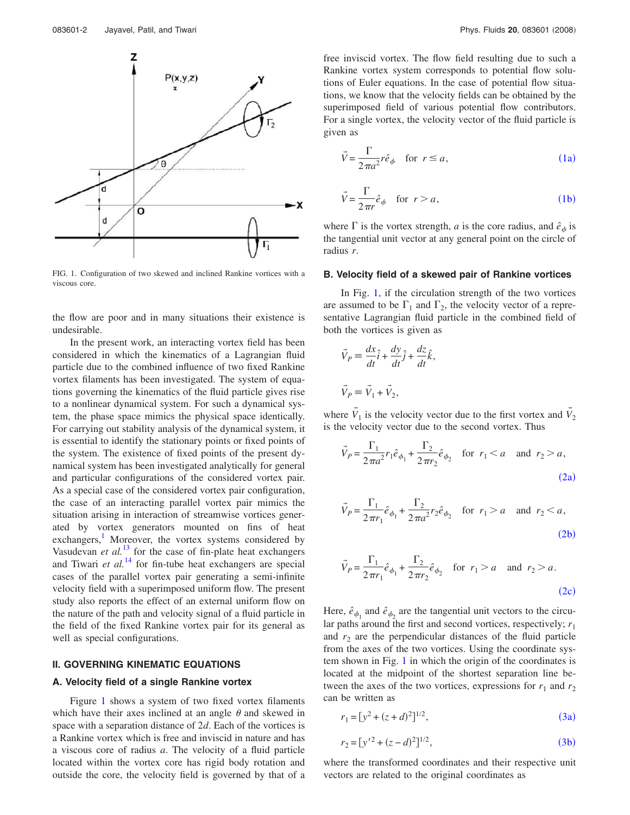

FIG. 1. Configuration of two skewed and inclined Rankine vortices with a viscous core.

the flow are poor and in many situations their existence is undesirable.

In the present work, an interacting vortex field has been considered in which the kinematics of a Lagrangian fluid particle due to the combined influence of two fixed Rankine vortex filaments has been investigated. The system of equations governing the kinematics of the fluid particle gives rise to a nonlinear dynamical system. For such a dynamical system, the phase space mimics the physical space identically. For carrying out stability analysis of the dynamical system, it is essential to identify the stationary points or fixed points of the system. The existence of fixed points of the present dynamical system has been investigated analytically for general and particular configurations of the considered vortex pair. As a special case of the considered vortex pair configuration, the case of an interacting parallel vortex pair mimics the situation arising in interaction of streamwise vortices generated by vortex generators mounted on fins of heat exchangers,<sup>1</sup> Moreover, the vortex systems considered by Vasudevan *et al.*<sup>13</sup> for the case of fin-plate heat exchangers and Tiwari  $et \ al.<sup>14</sup>$  for fin-tube heat exchangers are special cases of the parallel vortex pair generating a semi-infinite velocity field with a superimposed uniform flow. The present study also reports the effect of an external uniform flow on the nature of the path and velocity signal of a fluid particle in the field of the fixed Rankine vortex pair for its general as well as special configurations.

#### **II. GOVERNING KINEMATIC EQUATIONS**

## **A. Velocity field of a single Rankine vortex**

Figure 1 shows a system of two fixed vortex filaments which have their axes inclined at an angle  $\theta$  and skewed in space with a separation distance of 2*d*. Each of the vortices is a Rankine vortex which is free and inviscid in nature and has a viscous core of radius *a*. The velocity of a fluid particle located within the vortex core has rigid body rotation and outside the core, the velocity field is governed by that of a free inviscid vortex. The flow field resulting due to such a Rankine vortex system corresponds to potential flow solutions of Euler equations. In the case of potential flow situations, we know that the velocity fields can be obtained by the superimposed field of various potential flow contributors. For a single vortex, the velocity vector of the fluid particle is given as

$$
\vec{V} = \frac{\Gamma}{2\pi a^2} r \hat{e}_{\phi} \quad \text{for } r \le a,
$$
\n(1a)

$$
\vec{V} = \frac{\Gamma}{2\pi r} \hat{e}_{\phi} \quad \text{for } r > a,
$$
\n(1b)

where  $\Gamma$  is the vortex strength, *a* is the core radius, and  $\hat{e}_{\phi}$  is the tangential unit vector at any general point on the circle of radius *r*.

#### **B. Velocity field of a skewed pair of Rankine vortices**

In Fig. 1, if the circulation strength of the two vortices are assumed to be  $\Gamma_1$  and  $\Gamma_2$ , the velocity vector of a representative Lagrangian fluid particle in the combined field of both the vortices is given as

$$
\vec{V}_P \equiv \frac{dx}{dt}\hat{i} + \frac{dy}{dt}\hat{j} + \frac{dz}{dt}\hat{k},
$$
  

$$
\vec{V}_P \equiv \vec{V}_1 + \vec{V}_2,
$$

where  $\vec{V}_1$  is the velocity vector due to the first vortex and  $\vec{V}_2$ is the velocity vector due to the second vortex. Thus

$$
\vec{V}_P = \frac{\Gamma_1}{2\pi a^2} r_1 \hat{e}_{\phi_1} + \frac{\Gamma_2}{2\pi r_2} \hat{e}_{\phi_2} \quad \text{for } r_1 < a \quad \text{and } r_2 > a,
$$
\n(2a)

$$
\vec{V}_P = \frac{\Gamma_1}{2\pi r_1} \hat{e}_{\phi_1} + \frac{\Gamma_2}{2\pi a^2} r_2 \hat{e}_{\phi_2} \quad \text{for } r_1 > a \quad \text{and } r_2 < a,
$$
\n(2b)

$$
\vec{V}_P = \frac{\Gamma_1}{2\pi r_1} \hat{e}_{\phi_1} + \frac{\Gamma_2}{2\pi r_2} \hat{e}_{\phi_2} \quad \text{for } r_1 > a \quad \text{and } r_2 > a.
$$
\n(2c)

Here,  $\hat{e}_{\phi_1}$  and  $\hat{e}_{\phi_2}$  are the tangential unit vectors to the circular paths around the first and second vortices, respectively;  $r_1$ and  $r_2$  are the perpendicular distances of the fluid particle from the axes of the two vortices. Using the coordinate system shown in Fig. 1 in which the origin of the coordinates is located at the midpoint of the shortest separation line between the axes of the two vortices, expressions for  $r_1$  and  $r_2$ can be written as

$$
r_1 = [y^2 + (z + d)^2]^{1/2},
$$
\n(3a)

$$
r_2 = [y'^2 + (z - d)^2]^{1/2},\tag{3b}
$$

where the transformed coordinates and their respective unit vectors are related to the original coordinates as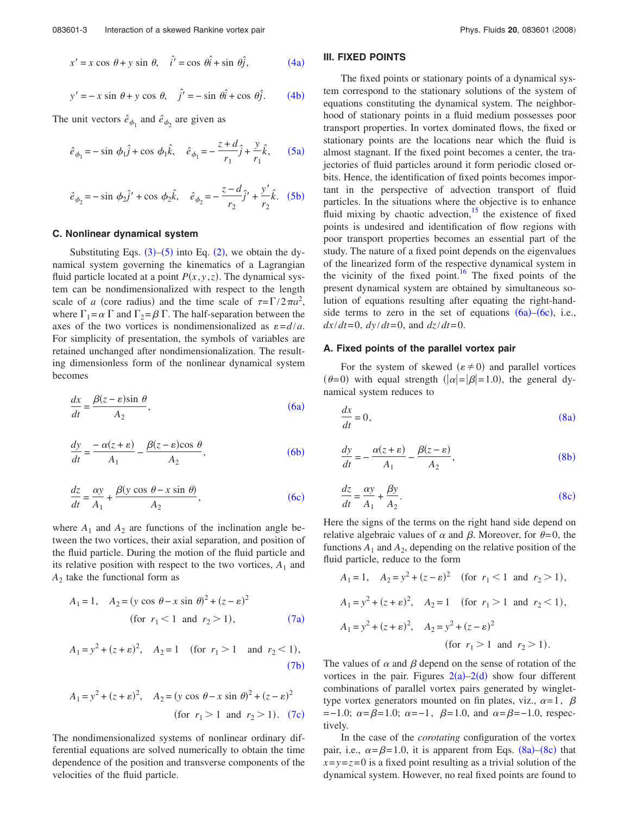$$
x' = x \cos \theta + y \sin \theta, \quad \hat{i}' = \cos \theta \hat{i} + \sin \theta \hat{j}, \tag{4a}
$$

$$
y' = -x \sin \theta + y \cos \theta, \quad \hat{j}' = -\sin \theta \hat{i} + \cos \theta \hat{j}.
$$
 (4b)

The unit vectors  $\hat{e}_{\phi_1}$  and  $\hat{e}_{\phi_2}$  are given as

$$
\hat{e}_{\phi_1} = -\sin \phi_1 \hat{j} + \cos \phi_1 \hat{k}, \quad \hat{e}_{\phi_1} = -\frac{z+d}{r_1} \hat{j} + \frac{y}{r_1} \hat{k},
$$
 (5a)

$$
\hat{e}_{\phi_2} = -\sin \phi_2 \hat{j}' + \cos \phi_2 \hat{k}, \quad \hat{e}_{\phi_2} = -\frac{z - d}{r_2} \hat{j}' + \frac{y'}{r_2} \hat{k}.
$$
 (5b)

### **C. Nonlinear dynamical system**

Substituting Eqs.  $(3)$ – $(5)$  into Eq.  $(2)$ , we obtain the dynamical system governing the kinematics of a Lagrangian fluid particle located at a point  $P(x, y, z)$ . The dynamical system can be nondimensionalized with respect to the length scale of *a* (core radius) and the time scale of  $\tau = \Gamma/2\pi a^2$ , where  $\Gamma_1 = \alpha \Gamma$  and  $\Gamma_2 = \beta \Gamma$ . The half-separation between the axes of the two vortices is nondimensionalized as  $\varepsilon = d/a$ . For simplicity of presentation, the symbols of variables are retained unchanged after nondimensionalization. The resulting dimensionless form of the nonlinear dynamical system becomes

$$
\frac{dx}{dt} = \frac{\beta(z - \varepsilon)\sin\,\theta}{A_2},\tag{6a}
$$

$$
\frac{dy}{dt} = \frac{-\alpha(z+\varepsilon)}{A_1} - \frac{\beta(z-\varepsilon)\cos\theta}{A_2},\tag{6b}
$$

$$
\frac{dz}{dt} = \frac{\alpha y}{A_1} + \frac{\beta(y \cos \theta - x \sin \theta)}{A_2},
$$
\n(6c)

where  $A_1$  and  $A_2$  are functions of the inclination angle between the two vortices, their axial separation, and position of the fluid particle. During the motion of the fluid particle and its relative position with respect to the two vortices,  $A_1$  and *A*2 take the functional form as

$$
A_1 = 1, \quad A_2 = (y \cos \theta - x \sin \theta)^2 + (z - \varepsilon)^2
$$
  
(for  $r_1 < 1$  and  $r_2 > 1$ ), (7a)

$$
A_1 = y^2 + (z + \varepsilon)^2
$$
,  $A_2 = 1$  (for  $r_1 > 1$  and  $r_2 < 1$ ),  
(7b)

$$
A_1 = y^2 + (z + \varepsilon)^2, \quad A_2 = (y \cos \theta - x \sin \theta)^2 + (z - \varepsilon)^2
$$
  
(for  $r_1 > 1$  and  $r_2 > 1$ ). (7c)

The nondimensionalized systems of nonlinear ordinary differential equations are solved numerically to obtain the time dependence of the position and transverse components of the velocities of the fluid particle.

#### **III. FIXED POINTS**

The fixed points or stationary points of a dynamical system correspond to the stationary solutions of the system of equations constituting the dynamical system. The neighborhood of stationary points in a fluid medium possesses poor transport properties. In vortex dominated flows, the fixed or stationary points are the locations near which the fluid is almost stagnant. If the fixed point becomes a center, the trajectories of fluid particles around it form periodic closed orbits. Hence, the identification of fixed points becomes important in the perspective of advection transport of fluid particles. In the situations where the objective is to enhance fluid mixing by chaotic advection,  $15$  the existence of fixed points is undesired and identification of flow regions with poor transport properties becomes an essential part of the study. The nature of a fixed point depends on the eigenvalues of the linearized form of the respective dynamical system in the vicinity of the fixed point.<sup>16</sup> The fixed points of the present dynamical system are obtained by simultaneous solution of equations resulting after equating the right-handside terms to zero in the set of equations  $(6a)$ – $(6c)$ , i.e.,  $dx/dt=0$ ,  $dy/dt=0$ , and  $dz/dt=0$ .

#### **A. Fixed points of the parallel vortex pair**

For the system of skewed ( $\varepsilon \neq 0$ ) and parallel vortices  $(\theta=0)$  with equal strength  $(|\alpha|=|\beta|=1.0)$ , the general dynamical system reduces to

$$
\frac{dx}{dt} = 0,\t(8a)
$$

$$
\frac{dy}{dt} = -\frac{\alpha(z+\varepsilon)}{A_1} - \frac{\beta(z-\varepsilon)}{A_2},\tag{8b}
$$

$$
\frac{dz}{dt} = \frac{\alpha y}{A_1} + \frac{\beta y}{A_2}.\tag{8c}
$$

Here the signs of the terms on the right hand side depend on relative algebraic values of  $\alpha$  and  $\beta$ . Moreover, for  $\theta = 0$ , the functions  $A_1$  and  $A_2$ , depending on the relative position of the fluid particle, reduce to the form

$$
A_1 = 1, \quad A_2 = y^2 + (z - \varepsilon)^2 \quad \text{(for } r_1 < 1 \text{ and } r_2 > 1),
$$
\n
$$
A_1 = y^2 + (z + \varepsilon)^2, \quad A_2 = 1 \quad \text{(for } r_1 > 1 \text{ and } r_2 < 1),
$$
\n
$$
A_1 = y^2 + (z + \varepsilon)^2, \quad A_2 = y^2 + (z - \varepsilon)^2 \quad \text{(for } r_1 > 1 \text{ and } r_2 > 1).
$$

The values of  $\alpha$  and  $\beta$  depend on the sense of rotation of the vortices in the pair. Figures  $2(a)-2(d)$  show four different combinations of parallel vortex pairs generated by winglettype vortex generators mounted on fin plates, viz.,  $\alpha = 1$ ,  $\beta$  $=-1.0; \ \alpha = \beta = 1.0; \ \alpha = -1, \ \beta = 1.0, \text{ and } \alpha = \beta = -1.0, \text{ respec-}$ tively.

In the case of the *corotating* configuration of the vortex pair, i.e.,  $\alpha = \beta = 1.0$ , it is apparent from Eqs.  $(8a)$ – $(8c)$  that  $x = y = z = 0$  is a fixed point resulting as a trivial solution of the dynamical system. However, no real fixed points are found to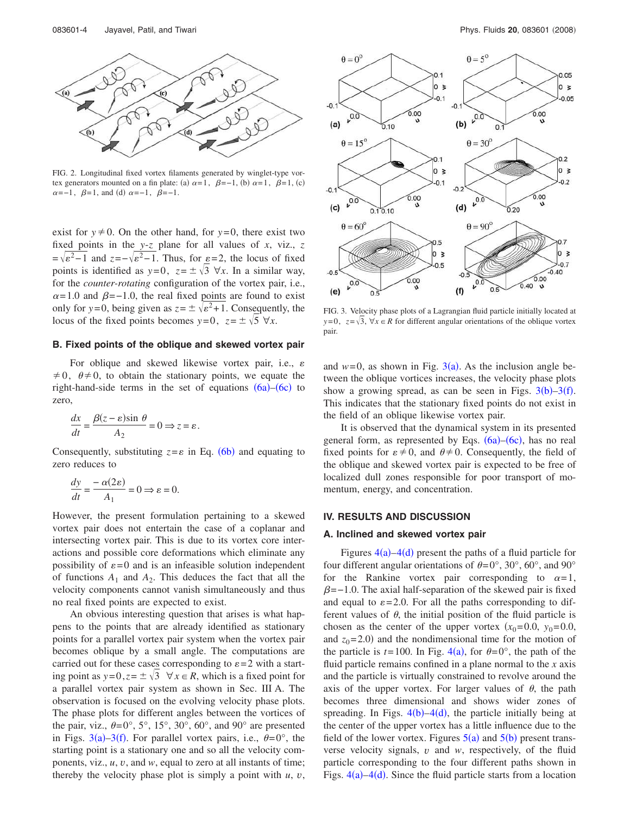

FIG. 2. Longitudinal fixed vortex filaments generated by winglet-type vortex generators mounted on a fin plate: (a)  $\alpha=1$ ,  $\beta=-1$ , (b)  $\alpha=1$ ,  $\beta=1$ , (c)  $\alpha=-1$ ,  $\beta=1$ , and (d)  $\alpha=-1$ ,  $\beta=-1$ .

exist for  $y \neq 0$ . On the other hand, for  $y=0$ , there exist two fixed points in the *y*-*z* plane for all values of *x*, viz., *z*  $=\sqrt{\epsilon^2-1}$  and  $z=-\sqrt{\epsilon^2-1}$ . Thus, for  $\epsilon=2$ , the locus of fixed points is identified as  $y=0$ ,  $z=\pm\sqrt{3} \,\forall x$ . In a similar way, for the *counter-rotating* configuration of the vortex pair, i.e.,  $\alpha$ =1.0 and  $\beta$ =-1.0, the real fixed points are found to exist only for y=0, being given as  $z = \pm \sqrt{\epsilon^2 + 1}$ . Consequently, the locus of the fixed points becomes  $y=0$ ,  $z=\pm \sqrt{5} \,\forall x$ .

## **B. Fixed points of the oblique and skewed vortex pair**

For oblique and skewed likewise vortex pair, i.e.,  $\varepsilon$  $\neq 0$ ,  $\theta \neq 0$ , to obtain the stationary points, we equate the right-hand-side terms in the set of equations  $(6a)$ – $(6c)$  to zero,

$$
\frac{dx}{dt} = \frac{\beta(z - \varepsilon)\sin\,\theta}{A_2} = 0 \Rightarrow z = \varepsilon.
$$

Consequently, substituting  $z = \varepsilon$  in Eq. (6b) and equating to zero reduces to

$$
\frac{dy}{dt} = \frac{-\alpha(2\varepsilon)}{A_1} = 0 \Rightarrow \varepsilon = 0.
$$

However, the present formulation pertaining to a skewed vortex pair does not entertain the case of a coplanar and intersecting vortex pair. This is due to its vortex core interactions and possible core deformations which eliminate any possibility of  $\varepsilon = 0$  and is an infeasible solution independent of functions  $A_1$  and  $A_2$ . This deduces the fact that all the velocity components cannot vanish simultaneously and thus no real fixed points are expected to exist.

An obvious interesting question that arises is what happens to the points that are already identified as stationary points for a parallel vortex pair system when the vortex pair becomes oblique by a small angle. The computations are carried out for these cases corresponding to  $\varepsilon = 2$  with a starting point as  $y=0$ ,  $z=\pm\sqrt{3}$   $\forall x \in R$ , which is a fixed point for a parallel vortex pair system as shown in Sec. III A. The observation is focused on the evolving velocity phase plots. The phase plots for different angles between the vortices of the pair, viz.,  $\theta = 0^\circ$ ,  $5^\circ$ ,  $15^\circ$ ,  $30^\circ$ ,  $60^\circ$ , and  $90^\circ$  are presented in Figs. 3(a)–3(f). For parallel vortex pairs, i.e.,  $\theta = 0^{\circ}$ , the starting point is a stationary one and so all the velocity components, viz., *u*, *v*, and *w*, equal to zero at all instants of time; thereby the velocity phase plot is simply a point with *u*, *v*,



FIG. 3. Velocity phase plots of a Lagrangian fluid particle initially located at *y*=0,  $z = \sqrt{3}$ ,  $\forall x \in R$  for different angular orientations of the oblique vortex pair.

and  $w=0$ , as shown in Fig. 3(a). As the inclusion angle between the oblique vortices increases, the velocity phase plots show a growing spread, as can be seen in Figs.  $3(b) - 3(f)$ . This indicates that the stationary fixed points do not exist in the field of an oblique likewise vortex pair.

It is observed that the dynamical system in its presented general form, as represented by Eqs.  $(6a)$ – $(6c)$ , has no real fixed points for  $\varepsilon \neq 0$ , and  $\theta \neq 0$ . Consequently, the field of the oblique and skewed vortex pair is expected to be free of localized dull zones responsible for poor transport of momentum, energy, and concentration.

#### **IV. RESULTS AND DISCUSSION**

#### **A. Inclined and skewed vortex pair**

Figures  $4(a) - 4(d)$  present the paths of a fluid particle for four different angular orientations of  $\theta = 0^\circ$ , 30°, 60°, and 90° for the Rankine vortex pair corresponding to  $\alpha=1$ ,  $\beta$ =−1.0. The axial half-separation of the skewed pair is fixed and equal to  $\varepsilon = 2.0$ . For all the paths corresponding to different values of  $\theta$ , the initial position of the fluid particle is chosen as the center of the upper vortex  $(x_0=0.0, y_0=0.0,$ and  $z_0$ =2.0) and the nondimensional time for the motion of the particle is  $t=100$ . In Fig. 4(a), for  $\theta=0^{\circ}$ , the path of the fluid particle remains confined in a plane normal to the *x* axis and the particle is virtually constrained to revolve around the axis of the upper vortex. For larger values of  $\theta$ , the path becomes three dimensional and shows wider zones of spreading. In Figs.  $4(b) - 4(d)$ , the particle initially being at the center of the upper vortex has a little influence due to the field of the lower vortex. Figures  $5(a)$  and  $5(b)$  present transverse velocity signals, *v* and *w*, respectively, of the fluid particle corresponding to the four different paths shown in Figs.  $4(a) - 4(d)$ . Since the fluid particle starts from a location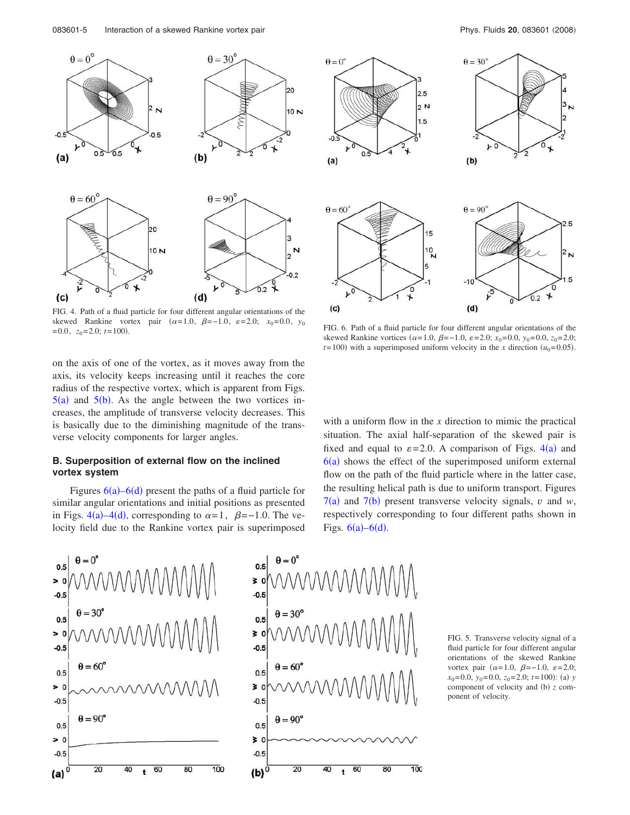

FIG. 4. Path of a fluid particle for four different angular orientations of the skewed Rankine vortex pair  $(\alpha=1.0, \beta=-1.0, \epsilon=2.0; x_0=0.0, y_0)$  $=0.0, z_0=2.0; t=100.$ 

on the axis of one of the vortex, as it moves away from the axis, its velocity keeps increasing until it reaches the core radius of the respective vortex, which is apparent from Figs.  $5(a)$  and  $5(b)$ . As the angle between the two vortices increases, the amplitude of transverse velocity decreases. This is basically due to the diminishing magnitude of the transverse velocity components for larger angles.

## **B. Superposition of external flow on the inclined vortex system**

Figures  $6(a)$ – $6(d)$  present the paths of a fluid particle for similar angular orientations and initial positions as presented in Figs. 4(a)–4(d), corresponding to  $\alpha=1$ ,  $\beta=-1.0$ . The velocity field due to the Rankine vortex pair is superimposed



 $\overline{100}$ 





FIG. 6. Path of a fluid particle for four different angular orientations of the skewed Rankine vortices  $(\alpha=1.0, \beta=-1.0, \varepsilon=2.0; x_0=0.0, y_0=0.0, z_0=2.0;$  $t=100$ ) with a superimposed uniform velocity in the *x* direction  $(u_0=0.05)$ .

FIG. 5. Transverse velocity signal of a fluid particle for four different angular orientations of the skewed Rankine vortex pair  $(\alpha=1.0, \beta=-1.0, \varepsilon=2.0;$  $x_0$ =0.0,  $y_0$ =0.0,  $z_0$ =2.0;  $t$ =100): (a) y component of velocity and (b) z component of velocity.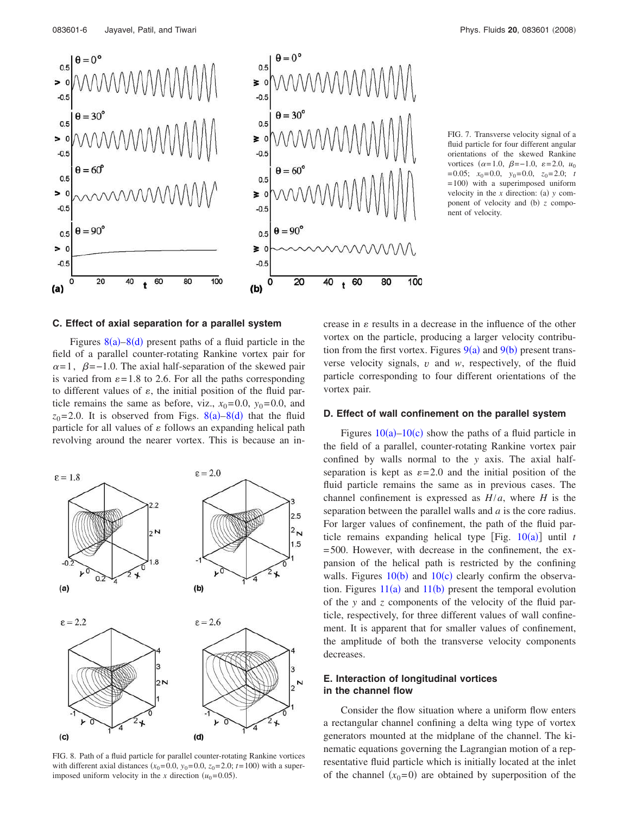

FIG. 7. Transverse velocity signal of a fluid particle for four different angular orientations of the skewed Rankine vortices  $(\alpha = 1.0, \beta = -1.0, \varepsilon = 2.0, u_0$  $=0.05;$   $x_0=0.0,$   $y_0=0.0,$   $z_0=2.0;$  *t*  $=$  100) with a superimposed uniform velocity in the  $x$  direction: (a)  $y$  component of velocity and (b) z component of velocity.

## **C. Effect of axial separation for a parallel system**

Figures  $8(a) - 8(d)$  present paths of a fluid particle in the field of a parallel counter-rotating Rankine vortex pair for  $\alpha$ =1,  $\beta$ =-1.0. The axial half-separation of the skewed pair is varied from  $\varepsilon$ =1.8 to 2.6. For all the paths corresponding to different values of  $\varepsilon$ , the initial position of the fluid particle remains the same as before, viz.,  $x_0=0.0$ ,  $y_0=0.0$ , and  $z_0$ =2.0. It is observed from Figs.  $8(a) - 8(d)$  that the fluid particle for all values of  $\varepsilon$  follows an expanding helical path revolving around the nearer vortex. This is because an in-



FIG. 8. Path of a fluid particle for parallel counter-rotating Rankine vortices with different axial distances  $(x_0=0.0, y_0=0.0, z_0=2.0; t=100)$  with a superimposed uniform velocity in the *x* direction  $(u_0=0.05)$ .

crease in  $\varepsilon$  results in a decrease in the influence of the other vortex on the particle, producing a larger velocity contribution from the first vortex. Figures  $9(a)$  and  $9(b)$  present transverse velocity signals, *v* and *w*, respectively, of the fluid particle corresponding to four different orientations of the vortex pair.

### **D. Effect of wall confinement on the parallel system**

Figures  $10(a) - 10(c)$  show the paths of a fluid particle in the field of a parallel, counter-rotating Rankine vortex pair confined by walls normal to the *y* axis. The axial halfseparation is kept as  $\varepsilon = 2.0$  and the initial position of the fluid particle remains the same as in previous cases. The channel confinement is expressed as *H*/*a*, where *H* is the separation between the parallel walls and *a* is the core radius. For larger values of confinement, the path of the fluid particle remains expanding helical type  $[Fig. 10(a)]$  until *t* =500. However, with decrease in the confinement, the expansion of the helical path is restricted by the confining walls. Figures  $10(b)$  and  $10(c)$  clearly confirm the observation. Figures  $11(a)$  and  $11(b)$  present the temporal evolution of the *y* and *z* components of the velocity of the fluid particle, respectively, for three different values of wall confinement. It is apparent that for smaller values of confinement, the amplitude of both the transverse velocity components decreases.

## **E. Interaction of longitudinal vortices in the channel flow**

Consider the flow situation where a uniform flow enters a rectangular channel confining a delta wing type of vortex generators mounted at the midplane of the channel. The kinematic equations governing the Lagrangian motion of a representative fluid particle which is initially located at the inlet of the channel  $(x_0=0)$  are obtained by superposition of the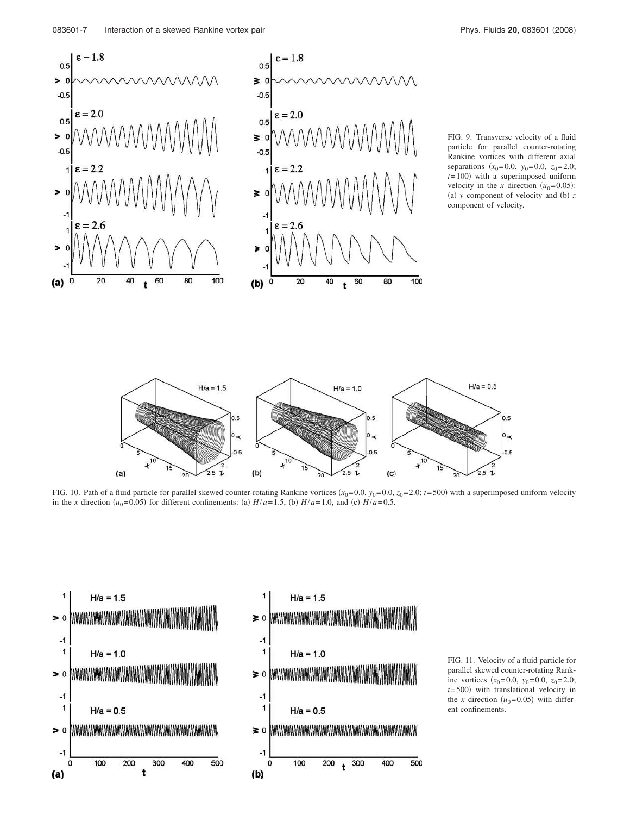

FIG. 9. Transverse velocity of a fluid particle for parallel counter-rotating Rankine vortices with different axial separations  $(x_0=0.0, y_0=0.0, z_0=2.0;$  $t = 100$ ) with a superimposed uniform velocity in the *x* direction  $(u_0=0.05)$ : (a) y component of velocity and (b)  $z$ component of velocity.



FIG. 10. Path of a fluid particle for parallel skewed counter-rotating Rankine vortices  $(x_0=0.0, y_0=0.0, z_0=2.0; t=500)$  with a superimposed uniform velocity in the *x* direction ( $u_0$ =0.05) for different confinements: (a)  $H/a$ =1.5, (b)  $H/a$ =1.0, and (c)  $H/a$ =0.5.



FIG. 11. Velocity of a fluid particle for parallel skewed counter-rotating Rankine vortices  $(x_0=0.0, y_0=0.0, z_0=2.0;$  $t = 500$ ) with translational velocity in the *x* direction  $(u_0=0.05)$  with different confinements.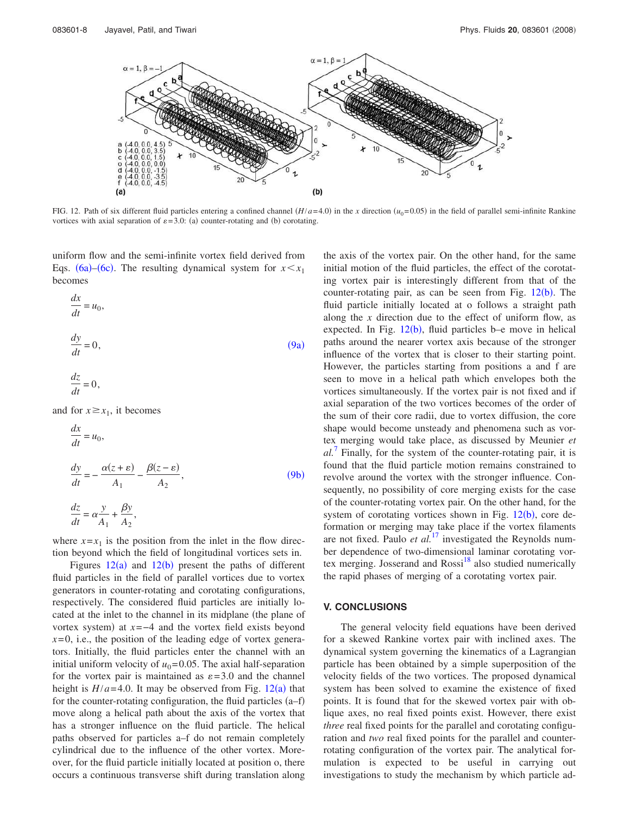

FIG. 12. Path of six different fluid particles entering a confined channel  $(H/a=4.0)$  in the *x* direction  $(u_0=0.05)$  in the field of parallel semi-infinite Rankine vortices with axial separation of  $\varepsilon = 3.0$ : (a) counter-rotating and (b) corotating.

uniform flow and the semi-infinite vortex field derived from Eqs. (6a)–(6c). The resulting dynamical system for  $x < x_1$ becomes

$$
\frac{dx}{dt} = u_0,
$$
  

$$
\frac{dy}{dt} = 0,
$$
 (9a)

$$
\frac{dz}{dt} = 0,
$$

and for  $x \ge x_1$ , it becomes

$$
\frac{dx}{dt} = u_0,
$$
\n
$$
\frac{dy}{dt} = -\frac{\alpha(z+\varepsilon)}{A_1} - \frac{\beta(z-\varepsilon)}{A_2},
$$
\n
$$
\frac{dz}{dt} = \alpha \frac{y}{A_1} + \frac{\beta y}{A_2},
$$
\n(9b)

where  $x=x_1$  is the position from the inlet in the flow direction beyond which the field of longitudinal vortices sets in.

Figures  $12(a)$  and  $12(b)$  present the paths of different fluid particles in the field of parallel vortices due to vortex generators in counter-rotating and corotating configurations, respectively. The considered fluid particles are initially located at the inlet to the channel in its midplane (the plane of vortex system) at  $x = -4$  and the vortex field exists beyond  $x=0$ , i.e., the position of the leading edge of vortex generators. Initially, the fluid particles enter the channel with an initial uniform velocity of  $u_0$ =0.05. The axial half-separation for the vortex pair is maintained as  $\varepsilon = 3.0$  and the channel height is  $H/a = 4.0$ . It may be observed from Fig.  $12(a)$  that for the counter-rotating configuration, the fluid particles  $(a-f)$ move along a helical path about the axis of the vortex that has a stronger influence on the fluid particle. The helical paths observed for particles a–f do not remain completely cylindrical due to the influence of the other vortex. Moreover, for the fluid particle initially located at position o, there occurs a continuous transverse shift during translation along the axis of the vortex pair. On the other hand, for the same initial motion of the fluid particles, the effect of the corotating vortex pair is interestingly different from that of the counter-rotating pair, as can be seen from Fig.  $12(b)$ . The fluid particle initially located at o follows a straight path along the *x* direction due to the effect of uniform flow, as expected. In Fig. 12(b), fluid particles b–e move in helical paths around the nearer vortex axis because of the stronger influence of the vortex that is closer to their starting point. However, the particles starting from positions a and f are seen to move in a helical path which envelopes both the vortices simultaneously. If the vortex pair is not fixed and if axial separation of the two vortices becomes of the order of the sum of their core radii, due to vortex diffusion, the core shape would become unsteady and phenomena such as vortex merging would take place, as discussed by Meunier *et*  $al.$ <sup>7</sup> Finally, for the system of the counter-rotating pair, it is found that the fluid particle motion remains constrained to revolve around the vortex with the stronger influence. Consequently, no possibility of core merging exists for the case of the counter-rotating vortex pair. On the other hand, for the system of corotating vortices shown in Fig.  $12(b)$ , core deformation or merging may take place if the vortex filaments are not fixed. Paulo *et al.*<sup>17</sup> investigated the Reynolds number dependence of two-dimensional laminar corotating vortex merging. Josserand and Rossi<sup>18</sup> also studied numerically the rapid phases of merging of a corotating vortex pair.

#### **V. CONCLUSIONS**

The general velocity field equations have been derived for a skewed Rankine vortex pair with inclined axes. The dynamical system governing the kinematics of a Lagrangian particle has been obtained by a simple superposition of the velocity fields of the two vortices. The proposed dynamical system has been solved to examine the existence of fixed points. It is found that for the skewed vortex pair with oblique axes, no real fixed points exist. However, there exist *three* real fixed points for the parallel and corotating configuration and *two* real fixed points for the parallel and counterrotating configuration of the vortex pair. The analytical formulation is expected to be useful in carrying out investigations to study the mechanism by which particle ad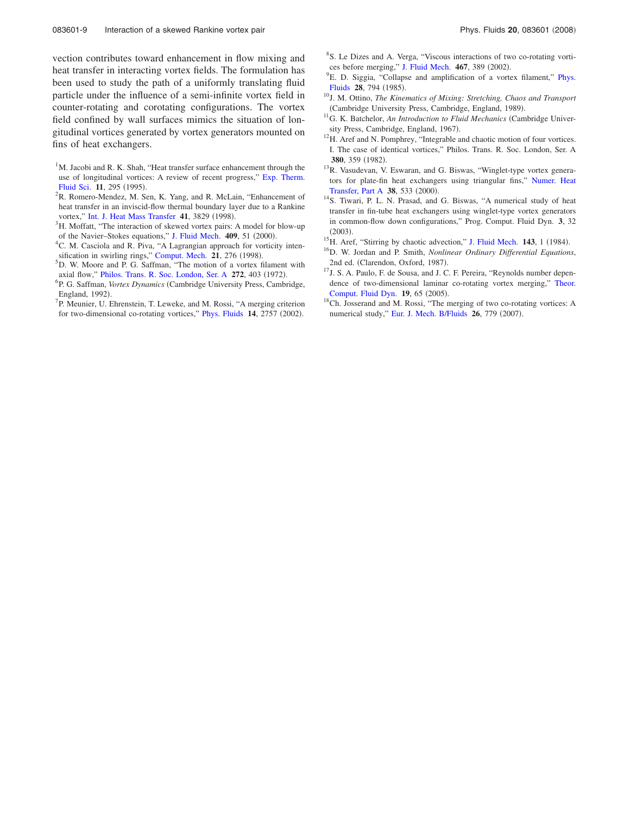vection contributes toward enhancement in flow mixing and heat transfer in interacting vortex fields. The formulation has been used to study the path of a uniformly translating fluid particle under the influence of a semi-infinite vortex field in counter-rotating and corotating configurations. The vortex field confined by wall surfaces mimics the situation of longitudinal vortices generated by vortex generators mounted on fins of heat exchangers.

- <sup>2</sup>R. Romero-Mendez, M. Sen, K. Yang, and R. McLain, "Enhancement of heat transfer in an inviscid-flow thermal boundary layer due to a Rankine vortex," Int. J. Heat Mass Transfer 41, 3829 (1998).
- <sup>3</sup>H. Moffatt, "The interaction of skewed vortex pairs: A model for blow-up of the Navier-Stokes equations," J. Fluid Mech. 409, 51 (2000).
- <sup>4</sup>C. M. Casciola and R. Piva, "A Lagrangian approach for vorticity intensification in swirling rings," Comput. Mech.  $21$ , 276 (1998).
- <sup>5</sup>D. W. Moore and P. G. Saffman, "The motion of a vortex filament with axial flow," Philos. Trans. R. Soc. London, Ser. A 272, 403 (1972).
- 6 P. G. Saffman, *Vortex Dynamics* Cambridge University Press, Cambridge, England, 1992).
- <sup>7</sup>P. Meunier, U. Ehrenstein, T. Leweke, and M. Rossi, "A merging criterion for two-dimensional co-rotating vortices," Phys. Fluids 14, 2757 (2002).
- 8 S. Le Dizes and A. Verga, "Viscous interactions of two co-rotating vortices before merging," J. Fluid Mech. 467, 389 (2002).
- <sup>9</sup>E. D. Siggia, "Collapse and amplification of a vortex filament," Phys. Fluids 28, 794 (1985).
- <sup>10</sup>J. M. Ottino, *The Kinematics of Mixing: Stretching, Chaos and Transport* (Cambridge University Press, Cambridge, England, 1989).
- <sup>11</sup>G. K. Batchelor, *An Introduction to Fluid Mechanics* (Cambridge University Press, Cambridge, England, 1967).
- <sup>12</sup>H. Aref and N. Pomphrey, "Integrable and chaotic motion of four vortices. I. The case of identical vortices," Philos. Trans. R. Soc. London, Ser. A 380, 359 (1982).
- <sup>13</sup>R. Vasudevan, V. Eswaran, and G. Biswas, "Winglet-type vortex generators for plate-fin heat exchangers using triangular fins," Numer. Heat Transfer, Part A 38, 533 (2000).
- <sup>14</sup>S. Tiwari, P. L. N. Prasad, and G. Biswas, "A numerical study of heat transfer in fin-tube heat exchangers using winglet-type vortex generators in common-flow down configurations," Prog. Comput. Fluid Dyn. **3**, 32  $(2003).$
- <sup>15</sup>H. Aref, "Stirring by chaotic advection," J. Fluid Mech. 143, 1 (1984).
- <sup>16</sup>D. W. Jordan and P. Smith, *Nonlinear Ordinary Differential Equations*, 2nd ed. (Clarendon, Oxford, 1987).
- <sup>17</sup>J. S. A. Paulo, F. de Sousa, and J. C. F. Pereira, "Reynolds number dependence of two-dimensional laminar co-rotating vortex merging," Theor. Comput. Fluid Dyn. 19, 65 (2005).
- <sup>18</sup>Ch. Josserand and M. Rossi, "The merging of two co-rotating vortices: A numerical study," Eur. J. Mech. B/Fluids 26, 779 (2007).

<sup>&</sup>lt;sup>1</sup>M. Jacobi and R. K. Shah, "Heat transfer surface enhancement through the use of longitudinal vortices: A review of recent progress," Exp. Therm. Fluid Sci. 11, 295 (1995).